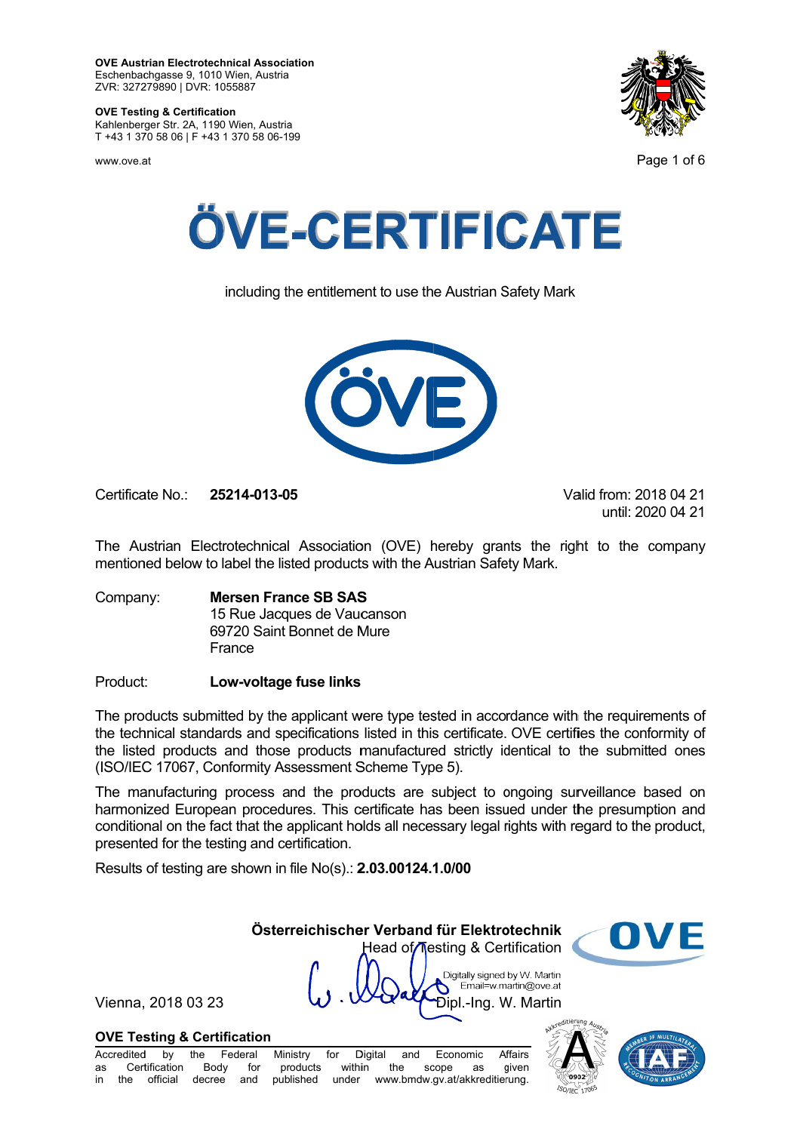**OVE Austrian Electrotechnical Association** Eschenbachgasse 9, 1010 Wien, Austria ZVR: 327279890 | DVR: 1055887

#### **OVE Testing & Certification**

Kahlenberger Str. 2A, 1190 Wien, Austria T +43 1 370 58 06 | F +43 1 370 58 06-199

WWW.OVA at



Page 1 of 6



including the entitlement to use the Austrian Safety Mark



Certificate No : 25214-013-05 Valid from: 2018 04 21 until: 2020 04 21

The Austrian Electrotechnical Association (OVE) hereby grants the right to the company mentioned below to label the listed products with the Austrian Safety Mark.

**Mersen France SB SAS** Company: 15 Rue Jacques de Vaucanson 69720 Saint Bonnet de Mure France

#### Product: Low-voltage fuse links

The products submitted by the applicant were type tested in accordance with the requirements of the technical standards and specifications listed in this certificate. OVE certifies the conformity of the listed products and those products manufactured strictly identical to the submitted ones (ISO/IEC 17067, Conformity Assessment Scheme Type 5).

The manufacturing process and the products are subject to ongoing surveillance based on harmonized European procedures. This certificate has been issued under the presumption and conditional on the fact that the applicant holds all necessary legal rights with regard to the product, presented for the testing and certification.

Results of testing are shown in file No(s).: 2.03.00124.1.0/00

Österreichischer Verband für Elektrotechnik n Head of Testing & Certification

Vienna, 2018 03 23

Digitally signed by W. Martin Email=w.martin@ove.at Dipl.-Ing. W. Martin



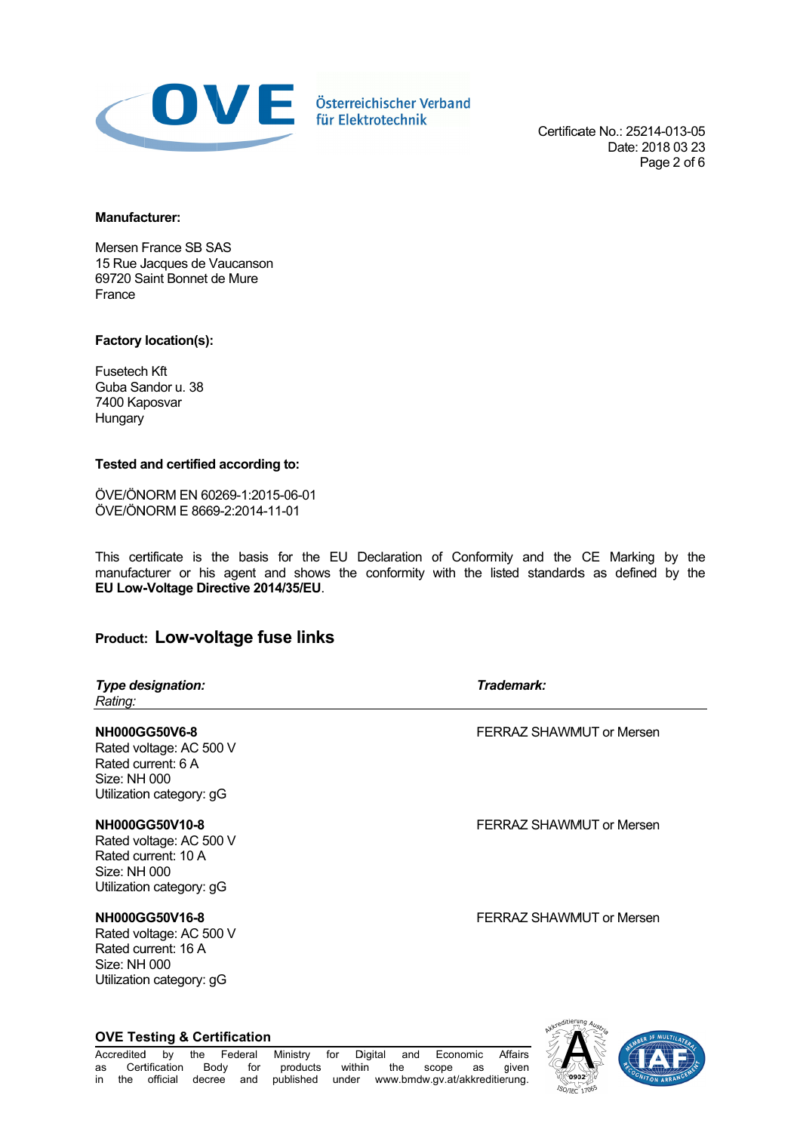

Certificate No.: 25214-013-05 Date: 2018 03 23 Page 2 of 6

#### **Manufacturer:**

Mersen France SB SAS 15 Rue Jacques de Vaucanson 69720 Saint Bonnet de Mure France

### Factory location(s):

Fusetech Kft Guba Sandor u. 38 7400 Kaposvar Hungary

### Tested and certified according to:

ÖVE/ÖNORM EN 60269-1:2015-06-01 ÖVE/ÖNORM E 8669-2:2014-11-01

This certificate is the basis for the EU Declaration of Conformity and the CE Marking by the manufacturer or his agent and shows the conformity with the listed standards as defined by the EU Low-Voltage Directive 2014/35/EU.

# **Product: LOW-voltage fuse links**

| <b>Type designation:</b><br>Rating:                                                                               | Trademark:               |
|-------------------------------------------------------------------------------------------------------------------|--------------------------|
| <b>NH000GG50V6-8</b><br>Rated voltage: AC 500 V<br>Rated current: 6 A<br>Size: NH 000<br>Utilization category: gG | FERRAZ SHAWMUT or Mersen |
| NH000GG50V10-8<br>Rated voltage: AC 500 V<br>Rated current: 10 A<br>Size: NH 000<br>Utilization category: gG      | FERRAZ SHAWMUT or Mersen |
| NH000GG50V16-8<br>Rated voltage: AC 500 V                                                                         | FERRAZ SHAWMUT or Mersen |

Rated current: 16 A **Size: NH 000** Utilization category: gG



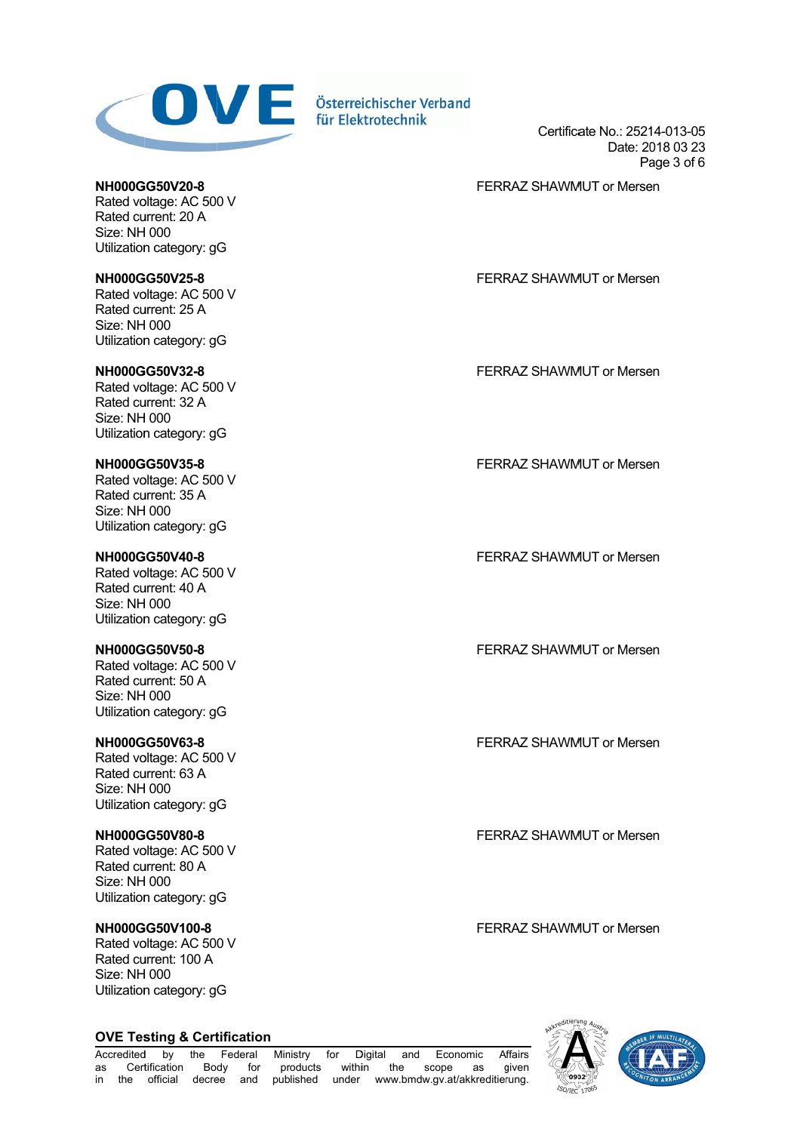

Certifica cate No.: 2521 14-013-05 Date: 2018 03 23 Pa age 3 of 6

FERRAZ SHAWMUT or Mersen

**NH000G GG50V20-8** Rated voltage: AC 500 V Rated current: 20 A Size: NH 000 Utilization category: gG

**NH000G GG50V25-8** Rated voltage: AC 500 V Rated current: 25 A Size: NH 000 Utilization category: gG

**NH000G GG50V32-8** Rated voltage: AC 500 V Rated current: 32 A Size: NH 000 Utilization category: gG

**NH000G GG50V35-8** Rated voltage: AC 500 V Rated current: 35 A Size: NH 000 Utilization category: gG

**NH000G GG50V40-8** Rated voltage: AC 500 V Rated current: 40 A Size: NH 000 Utilization category: gG

**NH000G GG50V50-8** Rated voltage: AC 500 V Rated cu urrent: 50 A Size: NH H 000 Utilization category: gG

**NH000G GG50V63-8** Rated voltage: AC 500 V Rated current: 63 A Size: NH H 000 Utilization category: gG

**NH000G GG50V80-8** Rated voltage: AC 500 V Rated cu urrent: 80 A Size: NH H 000 Utilization category: gG

**NH000G GG50V100-8** Rated voltage: AC 500 V Rated current: 100 A Size: NH H 000 Utilization category: gG

**OVE Testing & Certification** 

FERRAZ SHAWMUT or Mersen

FERRAZ SHAWMUT or Mersen

FERRAZ SHAWMUT or Mersen

FERRAZ SHAWMUT or Mersen

FERRAZ SHAWMUT or Mersen

FERRAZ SHAWMUT or Mersen

FERRAZ SHAWMUT or Mersen

FERRAZ SHAWMUT or Mersen

Accredited d by the Federal Min as Cert tification Bo in the official decree and published under www.bmdw.gv.at/akkreditierung. Body for Ministry for products Digital and in the sc ope as g Fconomic Affairs given



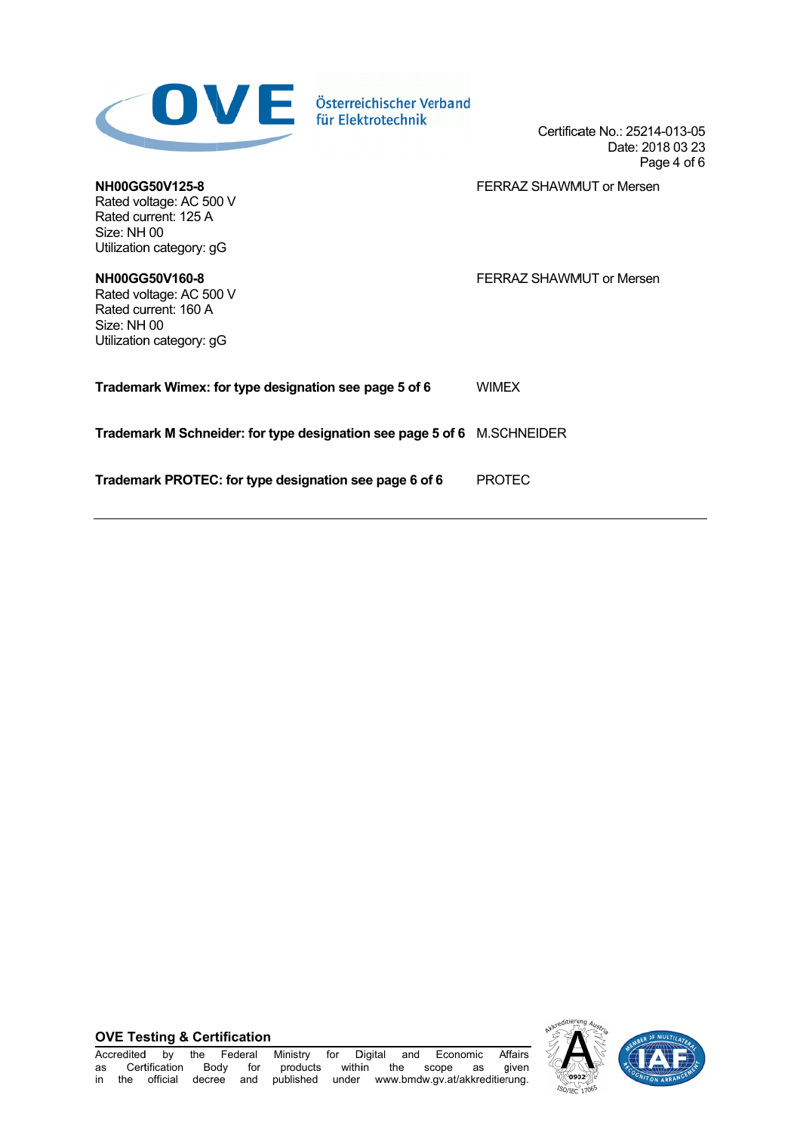| Österreichischer Verband<br>für Elektrotechnik                                                               | Certificate No.: 25214-013-05<br>Date: 2018 03 23<br>Page 4 of 6 |
|--------------------------------------------------------------------------------------------------------------|------------------------------------------------------------------|
| NH00GG50V125-8<br>Rated voltage: AC 500 V<br>Rated current: 125 A<br>Size: NH 00<br>Utilization category: gG | FERRAZ SHAWMUT or Mersen                                         |
| NH00GG50V160-8<br>Rated voltage: AC 500 V<br>Rated current: 160 A<br>Size: NH 00<br>Utilization category: gG | FERRAZ SHAWMUT or Mersen                                         |
| Trademark Wimex: for type designation see page 5 of 6                                                        | <b>WIMEX</b>                                                     |
| Trademark M Schneider: for type designation see page 5 of 6 M.SCHNEIDER                                      |                                                                  |
| Trademark PROTEC: for type designation see page 6 of 6                                                       | <b>PROTEC</b>                                                    |



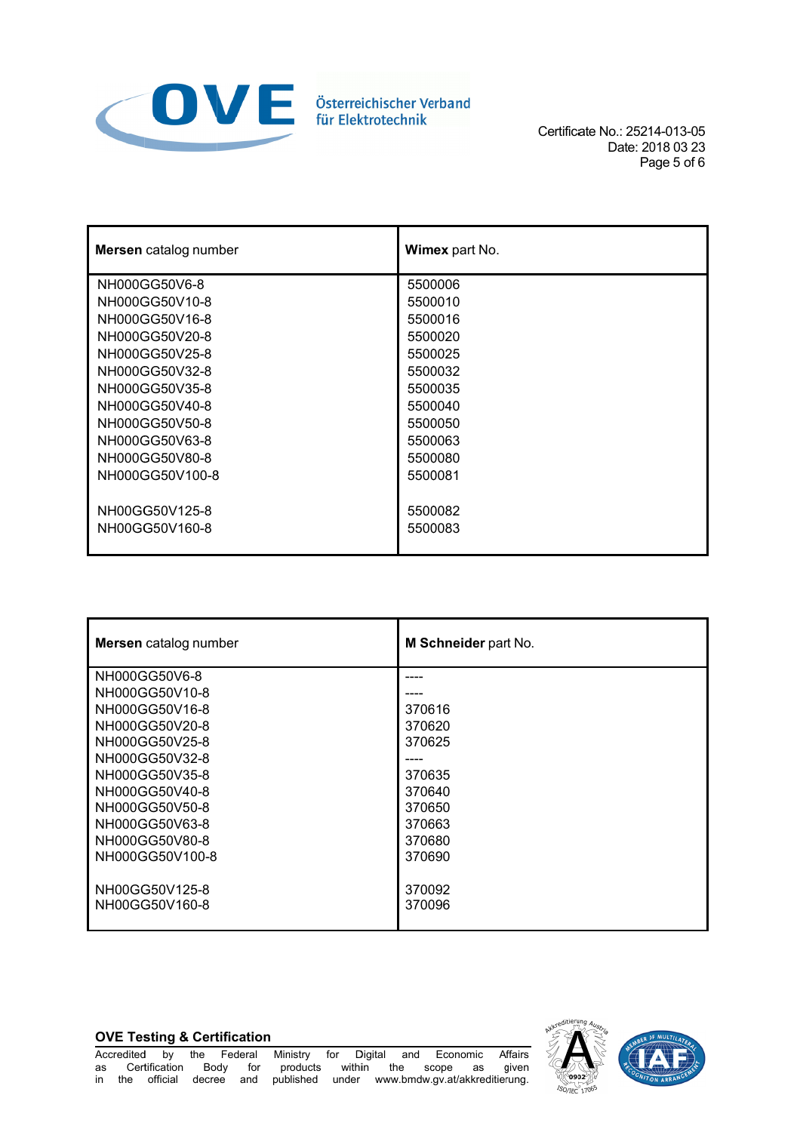

Certificate No.: 25214-013-05 Date: 2018 03 23 Page 5 of 6

| <b>Mersen</b> catalog number | Wimex part No. |
|------------------------------|----------------|
| NH000GG50V6-8                | 5500006        |
| NH000GG50V10-8               | 5500010        |
| NH000GG50V16-8               | 5500016        |
| NH000GG50V20-8               | 5500020        |
| NH000GG50V25-8               | 5500025        |
| NH000GG50V32-8               | 5500032        |
| NH000GG50V35-8               | 5500035        |
| NH000GG50V40-8               | 5500040        |
| NH000GG50V50-8               | 5500050        |
| NH000GG50V63-8               | 5500063        |
| NH000GG50V80-8               | 5500080        |
| NH000GG50V100-8              | 5500081        |
|                              |                |
| NH00GG50V125-8               | 5500082        |
| NH00GG50V160-8               | 5500083        |
|                              |                |

| Mersen catalog number | M Schneider part No. |
|-----------------------|----------------------|
| NH000GG50V6-8         |                      |
| NH000GG50V10-8        |                      |
| NH000GG50V16-8        | 370616               |
| NH000GG50V20-8        | 370620               |
| NH000GG50V25-8        | 370625               |
| NH000GG50V32-8        |                      |
| NH000GG50V35-8        | 370635               |
| NH000GG50V40-8        | 370640               |
| NH000GG50V50-8        | 370650               |
| NH000GG50V63-8        | 370663               |
| NH000GG50V80-8        | 370680               |
| NH000GG50V100-8       | 370690               |
|                       |                      |
| NH00GG50V125-8        | 370092               |
| NH00GG50V160-8        | 370096               |
|                       |                      |